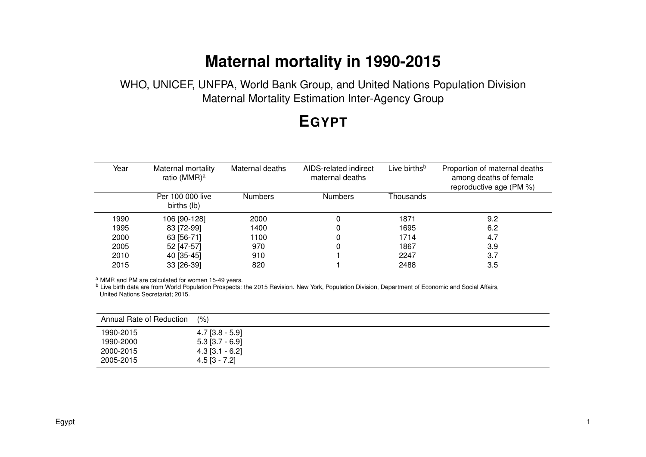# **Maternal mortality in 1990-2015**

WHO, UNICEF, UNFPA, World Bank Group, and United Nations Population Division Maternal Mortality Estimation Inter-Agency Group

## **EGYPT**

| Year | Maternal mortality<br>ratio (MMR) <sup>a</sup> | Maternal deaths | AIDS-related indirect<br>maternal deaths | Live births <sup>b</sup> | Proportion of maternal deaths<br>among deaths of female<br>reproductive age (PM %) |
|------|------------------------------------------------|-----------------|------------------------------------------|--------------------------|------------------------------------------------------------------------------------|
|      | Per 100 000 live<br>births (lb)                | <b>Numbers</b>  | <b>Numbers</b>                           | Thousands                |                                                                                    |
| 1990 | 106 [90-128]                                   | 2000            |                                          | 1871                     | 9.2                                                                                |
| 1995 | 83 [72-99]                                     | 1400            |                                          | 1695                     | 6.2                                                                                |
| 2000 | 63 [56-71]                                     | 1100            |                                          | 1714                     | 4.7                                                                                |
| 2005 | 52 [47-57]                                     | 970             | 0                                        | 1867                     | 3.9                                                                                |
| 2010 | 40 [35-45]                                     | 910             |                                          | 2247                     | 3.7                                                                                |
| 2015 | 33 [26-39]                                     | 820             |                                          | 2488                     | 3.5                                                                                |
|      |                                                |                 |                                          |                          |                                                                                    |

a MMR and PM are calculated for women 15-49 years.

<sup>b</sup> Live birth data are from World Population Prospects: the 2015 Revision. New York, Population Division, Department of Economic and Social Affairs, United Nations Secretariat; 2015.

| Annual Rate of Reduction | (% )              |
|--------------------------|-------------------|
| 1990-2015                | $4.7$ [3.8 - 5.9] |
| 1990-2000                | $5.3$ [3.7 - 6.9] |
| 2000-2015                | $4.3$ [3.1 - 6.2] |
| 2005-2015                | $4.5$ [3 - 7.2]   |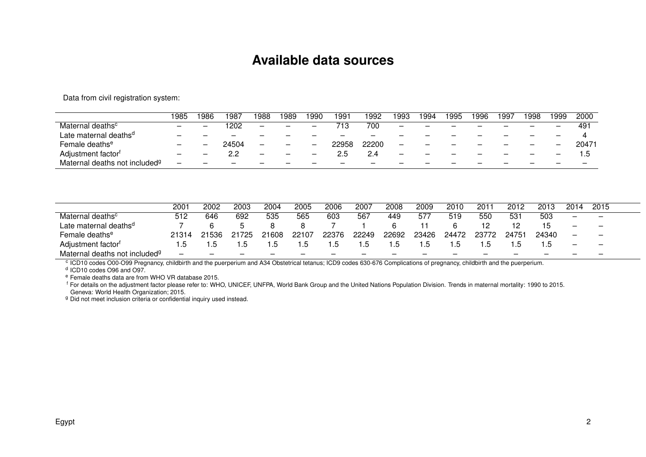#### **Available data sources**

Data from civil registration system:

|                                           | 1985                                    | 986                      | 987   | 988                      | '989 | 990                      | 991   | 1992                     | 993 | 994 | 1995                     | 996 | 99] | 1998                     | 1999. | 2000  |
|-------------------------------------------|-----------------------------------------|--------------------------|-------|--------------------------|------|--------------------------|-------|--------------------------|-----|-----|--------------------------|-----|-----|--------------------------|-------|-------|
| Maternal deaths <sup>c</sup>              | $\qquad \qquad \  \  \, -\qquad \qquad$ | $\overline{\phantom{m}}$ | 202   | $\overline{\phantom{m}}$ |      | $\overline{\phantom{m}}$ | 713.  | 700                      |     |     |                          |     |     | $\overline{\phantom{m}}$ |       | -49   |
| Late maternal deaths <sup>d</sup>         |                                         | –                        |       | —                        |      |                          |       |                          |     |     |                          |     |     |                          |       |       |
| Female deaths <sup>e</sup>                |                                         |                          | 24504 |                          |      |                          | 22958 | 22200                    |     | –   |                          |     | —   |                          |       | 20471 |
| Adjustment factor <sup>t</sup>            |                                         |                          | 2.2   |                          |      |                          | 2.5   |                          |     |     |                          |     |     |                          |       |       |
| Maternal deaths not included <sup>g</sup> |                                         |                          |       |                          |      |                          |       | $\overline{\phantom{m}}$ |     |     | $\overline{\phantom{m}}$ |     |     | $\overline{\phantom{m}}$ |       |       |

|                                           | 2001  | 2002                     | 2003  | 2004  | 2005  | 2006                     | 2007                     | 2008                     | 2009  | 2010  | 201   | 2012  | 2013                     | 2014                     | 2015                     |  |
|-------------------------------------------|-------|--------------------------|-------|-------|-------|--------------------------|--------------------------|--------------------------|-------|-------|-------|-------|--------------------------|--------------------------|--------------------------|--|
| Maternal deaths <sup>c</sup>              | 512   | 646                      | 692   | 535   | 565   | 603                      | 567                      | 449                      | 577   | 519   | 550   | -531  | 503                      | $\overline{\phantom{a}}$ | $\qquad \qquad -$        |  |
| Late maternal deaths <sup>d</sup>         |       |                          |       |       |       |                          |                          |                          |       |       |       |       |                          | $\overline{\phantom{a}}$ | $\overline{\phantom{0}}$ |  |
| Female deaths <sup>e</sup>                | 21314 | 21536                    | ገ1725 | 21608 | 22107 | 22376                    | 22249                    | 22692                    | 23426 | 24472 | 23772 | 24751 | 24340                    |                          | $\overline{\phantom{0}}$ |  |
| Adjustment factor <sup>t</sup>            |       |                          |       |       |       | . 0                      | . . כ                    | . ס                      |       |       |       | ء.    |                          |                          | $\overline{\phantom{0}}$ |  |
| Maternal deaths not included <sup>g</sup> |       | $\overline{\phantom{0}}$ |       |       |       | $\overline{\phantom{0}}$ | $\overline{\phantom{0}}$ | $\overline{\phantom{m}}$ |       |       |       |       | $\overline{\phantom{0}}$ |                          | $\overline{\phantom{0}}$ |  |

Maternal deaths not included<sup>g</sup> – – – – – – – – – – – – – – – c ICD10 codes O00-O99 Pregnancy, childbirth and the puerperium and A34 Obstetrical tetanus; ICD9 codes 630-676 Complications of pregnancy, childbirth and the puerperium. d ICD10 codes O96 and O97.

<sup>e</sup> Female deaths data are from WHO VR database 2015.

<sup>f</sup> For details on the adjustment factor please refer to: WHO, UNICEF, UNFPA, World Bank Group and the United Nations Population Division. Trends in maternal mortality: 1990 to 2015. Geneva: World Health Organization; 2015.

g Did not meet inclusion criteria or confidential inquiry used instead.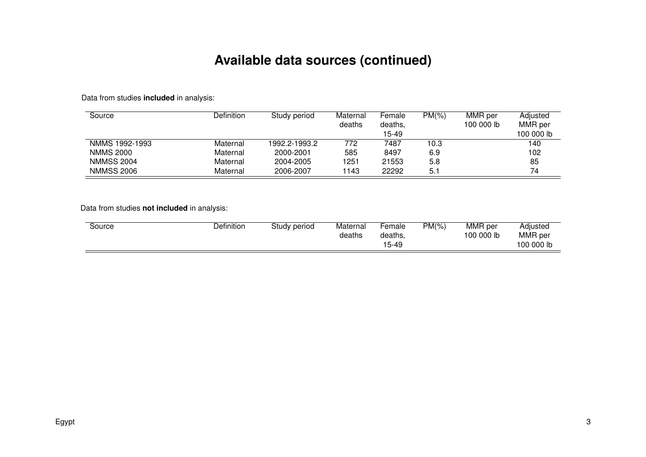### **Available data sources (continued)**

Data from studies **included** in analysis:

| Source            | Definition | Study period  | Maternal | Female  | $PM(\% )$ | MMR per    | Adiusted   |
|-------------------|------------|---------------|----------|---------|-----------|------------|------------|
|                   |            |               | deaths   | deaths. |           | 100 000 lb | MMR per    |
|                   |            |               |          | 15-49   |           |            | 100 000 lb |
| NMMS 1992-1993    | Maternal   | 1992.2-1993.2 | 772      | 7487    | 10.3      |            | 140        |
| <b>NMMS 2000</b>  | Maternal   | 2000-2001     | 585      | 8497    | 6.9       |            | 102        |
| <b>NMMSS 2004</b> | Maternal   | 2004-2005     | 1251     | 21553   | 5.8       |            | 85         |
| <b>NMMSS 2006</b> | Maternal   | 2006-2007     | 1143     | 22292   | 5.1       |            | 74         |

Data from studies **not included** in analysis:

| Definition<br>Maternal<br>Study period<br>Source<br>deaths | MMR per<br>$PM(\% )$<br>'−emale<br>100 000 lb<br>deaths,<br>15-49 | Adjusted<br>MMR per<br>100 000 lb |
|------------------------------------------------------------|-------------------------------------------------------------------|-----------------------------------|
|------------------------------------------------------------|-------------------------------------------------------------------|-----------------------------------|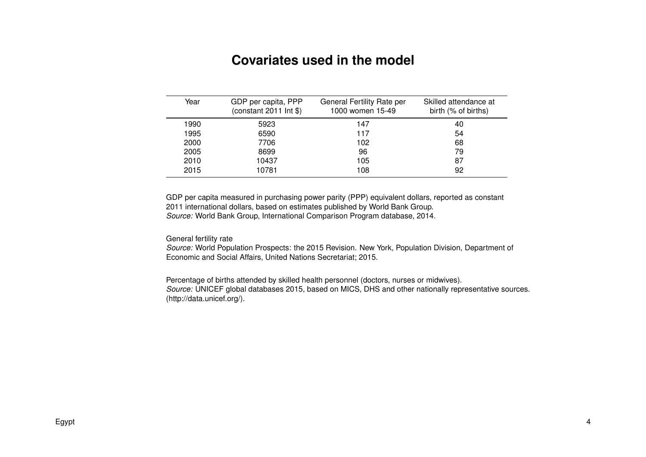#### **Covariates used in the model**

| Year | GDP per capita, PPP<br>(constant $2011$ lnt $\$$ ) | General Fertility Rate per<br>1000 women 15-49 | Skilled attendance at<br>birth (% of births) |
|------|----------------------------------------------------|------------------------------------------------|----------------------------------------------|
| 1990 | 5923                                               | 147                                            | 40                                           |
| 1995 | 6590                                               | 117                                            | 54                                           |
| 2000 | 7706                                               | 102                                            | 68                                           |
| 2005 | 8699                                               | 96                                             | 79                                           |
| 2010 | 10437                                              | 105                                            | 87                                           |
| 2015 | 10781                                              | 108                                            | 92                                           |

GDP per capita measured in purchasing power parity (PPP) equivalent dollars, reported as constant 2011 international dollars, based on estimates published by World Bank Group. *Source:* World Bank Group, International Comparison Program database, 2014.

General fertility rate

*Source:* World Population Prospects: the 2015 Revision. New York, Population Division, Department of Economic and Social Affairs, United Nations Secretariat; 2015.

Percentage of births attended by skilled health personnel (doctors, nurses or midwives). *Source:* UNICEF global databases 2015, based on MICS, DHS and other nationally representative sources. (http://data.unicef.org/).